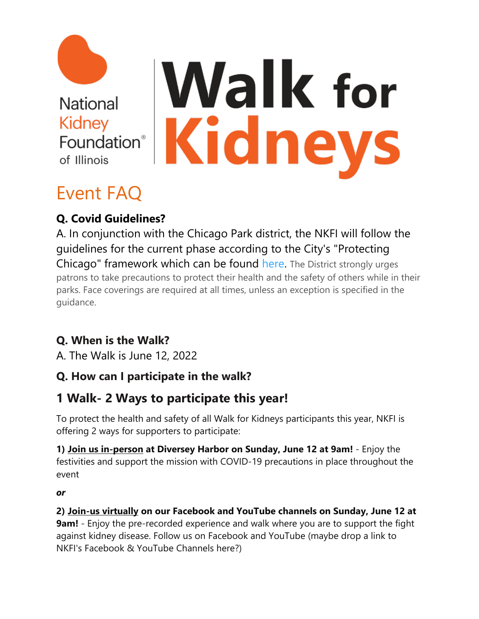

# **Walk for** Kidneys

# Event FAQ

# **Q. Covid Guidelines?**

A. In conjunction with the Chicago Park district, the NKFI will follow the guidelines for the current phase according to the City's "Protecting Chicago" framework which can be found [here.](https://www.chicago.gov/city/en/sites/covid-19/home/reopening-business-portal.html) The District strongly urges patrons to take precautions to protect their health and the safety of others while in their parks. Face coverings are required at all times, unless an exception is specified in the guidance.

## **Q. When is the Walk?**

A. The Walk is June 12, 2022

## **Q. How can I participate in the walk?**

# **1 Walk- 2 Ways to participate this year!**

To protect the health and safety of all Walk for Kidneys participants this year, NKFI is offering 2 ways for supporters to participate:

**1) Join us in-person at Diversey Harbor on Sunday, June 12 at 9am!** - Enjoy the festivities and support the mission with COVID-19 precautions in place throughout the event

*or*

**2) Join-us virtually on our Facebook and YouTube channels on Sunday, June 12 at 9am!** - Enjoy the pre-recorded experience and walk where you are to support the fight against kidney disease. Follow us on Facebook and YouTube (maybe drop a link to NKFI's Facebook & YouTube Channels here?)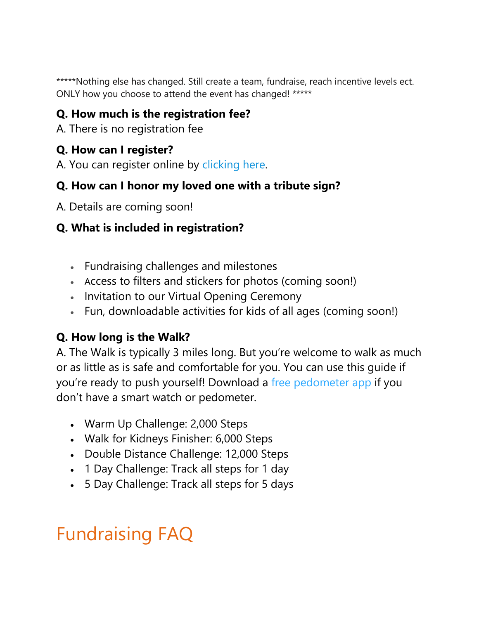\*\*\*\*\*Nothing else has changed. Still create a team, fundraise, reach incentive levels ect. ONLY how you choose to attend the event has changed! \*\*\*\*\*

#### **Q. How much is the registration fee?**

A. There is no registration fee

#### **Q. How can I register?**

A. You can register online by [clicking here.](https://p2p.onecause.com/walkforkidneys/home)

#### **Q. How can I honor my loved one with a tribute sign?**

A. Details are coming soon!

#### **Q. What is included in registration?**

- Fundraising challenges and milestones
- Access to filters and stickers for photos (coming soon!)
- Invitation to our Virtual Opening Ceremony
- Fun, downloadable activities for kids of all ages (coming soon!)

#### **Q. How long is the Walk?**

A. The Walk is typically 3 miles long. But you're welcome to walk as much or as little as is safe and comfortable for you. You can use this guide if you're ready to push yourself! Download a [free pedometer app](https://www.goodhousekeeping.com/health-products/g28778836/best-step-counter-pedometer-apps/) if you don't have a smart watch or pedometer.

- Warm Up Challenge: 2,000 Steps
- Walk for Kidneys Finisher: 6,000 Steps
- Double Distance Challenge: 12,000 Steps
- 1 Day Challenge: Track all steps for 1 day
- 5 Day Challenge: Track all steps for 5 days

# Fundraising FAQ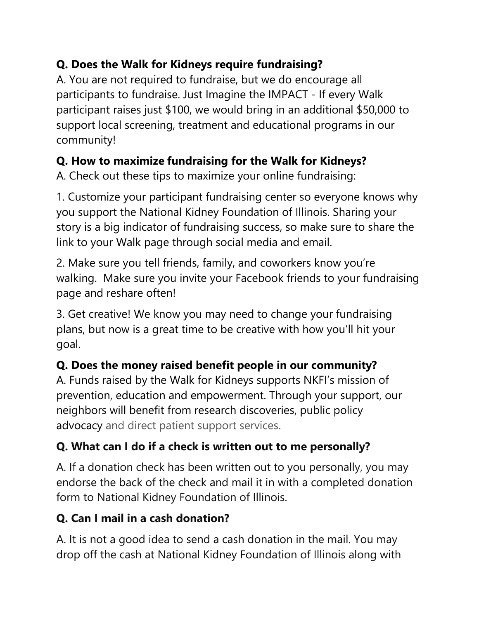#### **Q. Does the Walk for Kidneys require fundraising?**

A. You are not required to fundraise, but we do encourage all participants to fundraise. Just Imagine the IMPACT - If every Walk participant raises just \$100, we would bring in an additional \$50,000 to support local screening, treatment and educational programs in our community!

# **Q. How to maximize fundraising for the Walk for Kidneys?**

A. Check out these tips to maximize your online fundraising:

1. Customize your participant fundraising center so everyone knows why you support the National Kidney Foundation of Illinois. Sharing your story is a big indicator of fundraising success, so make sure to share the link to your Walk page through social media and email.

2. Make sure you tell friends, family, and coworkers know you're walking. Make sure you invite your Facebook friends to your fundraising page and reshare often!

3. Get creative! We know you may need to change your fundraising plans, but now is a great time to be creative with how you'll hit your goal.

## **Q. Does the money raised benefit people in our community?**

A. Funds raised by the Walk for Kidneys supports NKFI's mission of prevention, education and empowerment. Through your support, our neighbors will benefit from research discoveries, public policy advocacy and direct patient support services.

# **Q. What can I do if a check is written out to me personally?**

A. If a donation check has been written out to you personally, you may endorse the back of the check and mail it in with a completed donation form to National Kidney Foundation of Illinois.

# **Q. Can I mail in a cash donation?**

A. It is not a good idea to send a cash donation in the mail. You may drop off the cash at National Kidney Foundation of Illinois along with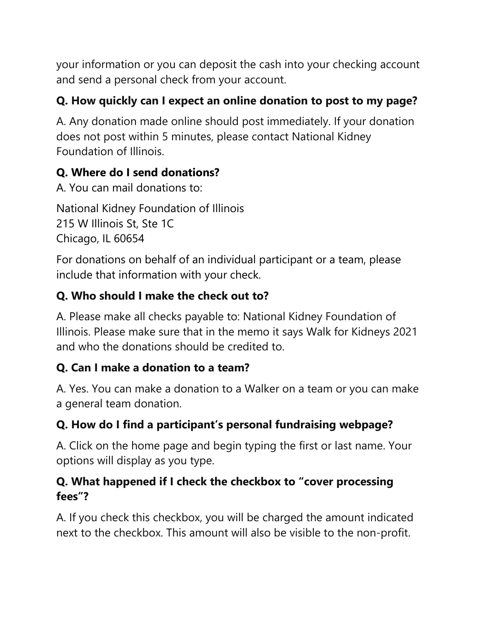your information or you can deposit the cash into your checking account and send a personal check from your account.

## **Q. How quickly can I expect an online donation to post to my page?**

A. Any donation made online should post immediately. If your donation does not post within 5 minutes, please contact National Kidney Foundation of Illinois.

#### **Q. Where do I send donations?**

A. You can mail donations to:

National Kidney Foundation of Illinois 215 W Illinois St, Ste 1C Chicago, IL 60654

For donations on behalf of an individual participant or a team, please include that information with your check.

## **Q. Who should I make the check out to?**

A. Please make all checks payable to: National Kidney Foundation of Illinois. Please make sure that in the memo it says Walk for Kidneys 2021 and who the donations should be credited to.

## **Q. Can I make a donation to a team?**

A. Yes. You can make a donation to a Walker on a team or you can make a general team donation.

## **Q. How do I find a participant's personal fundraising webpage?**

A. Click on the home page and begin typing the first or last name. Your options will display as you type.

#### **Q. What happened if I check the checkbox to "cover processing fees"?**

A. If you check this checkbox, you will be charged the amount indicated next to the checkbox. This amount will also be visible to the non-profit.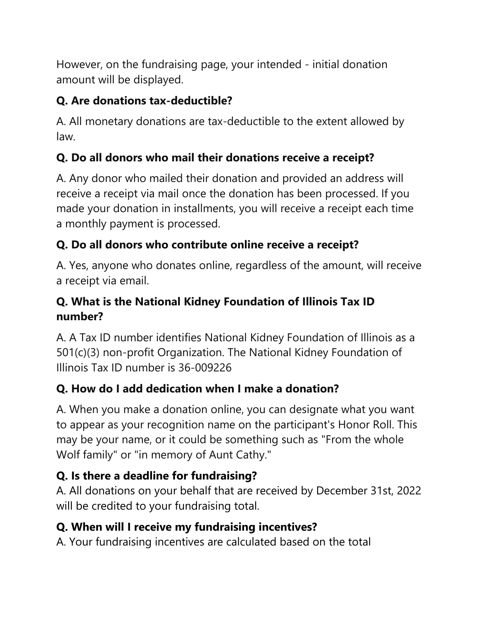However, on the fundraising page, your intended - initial donation amount will be displayed.

## **Q. Are donations tax-deductible?**

A. All monetary donations are tax-deductible to the extent allowed by law.

## **Q. Do all donors who mail their donations receive a receipt?**

A. Any donor who mailed their donation and provided an address will receive a receipt via mail once the donation has been processed. If you made your donation in installments, you will receive a receipt each time a monthly payment is processed.

## **Q. Do all donors who contribute online receive a receipt?**

A. Yes, anyone who donates online, regardless of the amount, will receive a receipt via email.

#### **Q. What is the National Kidney Foundation of Illinois Tax ID number?**

A. A Tax ID number identifies National Kidney Foundation of Illinois as a 501(c)(3) non-profit Organization. The National Kidney Foundation of Illinois Tax ID number is 36-009226

## **Q. How do I add dedication when I make a donation?**

A. When you make a donation online, you can designate what you want to appear as your recognition name on the participant's Honor Roll. This may be your name, or it could be something such as "From the whole Wolf family" or "in memory of Aunt Cathy."

## **Q. Is there a deadline for fundraising?**

A. All donations on your behalf that are received by December 31st, 2022 will be credited to your fundraising total.

## **Q. When will I receive my fundraising incentives?**

A. Your fundraising incentives are calculated based on the total